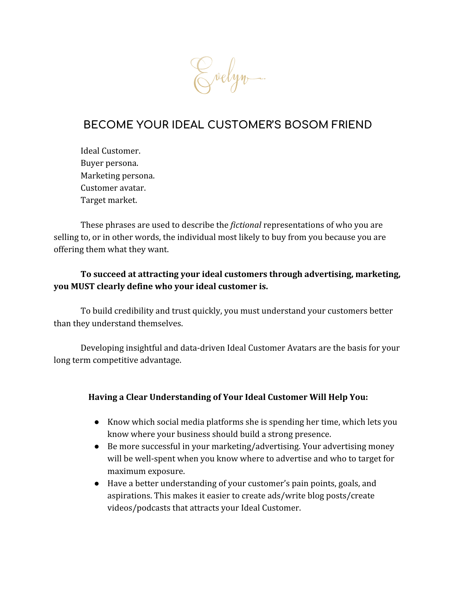

## **BECOME YOUR IDEAL CUSTOMER'S BOSOM FRIEND**

Ideal Customer. Buyer persona. Marketing persona. Customer avatar. Target market.

These phrases are used to describe the *fictional* representations of who you are selling to, or in other words, the individual most likely to buy from you because you are offering them what they want.

### **To succeed at attracting your ideal customers through advertising, marketing, you MUST clearly define who your ideal customer is.**

To build credibility and trust quickly, you must understand your customers better than they understand themselves.

Developing insightful and data-driven Ideal Customer Avatars are the basis for your long term competitive advantage.

#### **Having a Clear Understanding of Your Ideal Customer Will Help You:**

- Know which social media platforms she is spending her time, which lets you know where your business should build a strong presence.
- Be more successful in your marketing/advertising. Your advertising money will be well-spent when you know where to advertise and who to target for maximum exposure.
- Have a better understanding of your customer's pain points, goals, and aspirations. This makes it easier to create ads/write blog posts/create videos/podcasts that attracts your Ideal Customer.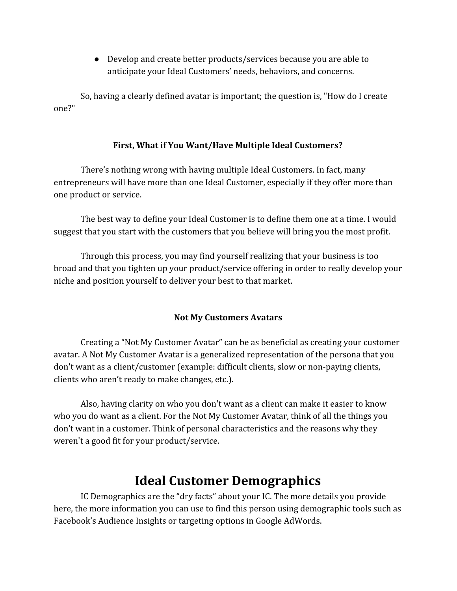● Develop and create better products/services because you are able to anticipate your Ideal Customers' needs, behaviors, and concerns.

So, having a clearly defined avatar is important; the question is, "How do I create one?"

#### **First, What if You Want/Have Multiple Ideal Customers?**

There's nothing wrong with having multiple Ideal Customers. In fact, many entrepreneurs will have more than one Ideal Customer, especially if they offer more than one product or service.

The best way to define your Ideal Customer is to define them one at a time. I would suggest that you start with the customers that you believe will bring you the most profit.

Through this process, you may find yourself realizing that your business is too broad and that you tighten up your product/service offering in order to really develop your niche and position yourself to deliver your best to that market.

#### **Not My Customers Avatars**

Creating a "Not My Customer Avatar" can be as beneficial as creating your customer avatar. A Not My Customer Avatar is a generalized representation of the persona that you don't want as a client/customer (example: difficult clients, slow or non-paying clients, clients who aren't ready to make changes, etc.).

Also, having clarity on who you don't want as a client can make it easier to know who you do want as a client. For the Not My Customer Avatar, think of all the things you don't want in a customer. Think of personal characteristics and the reasons why they weren't a good fit for your product/service.

# **Ideal Customer Demographics**

IC Demographics are the "dry facts" about your IC. The more details you provide here, the more information you can use to find this person using demographic tools such as Facebook's Audience Insights or targeting options in Google AdWords.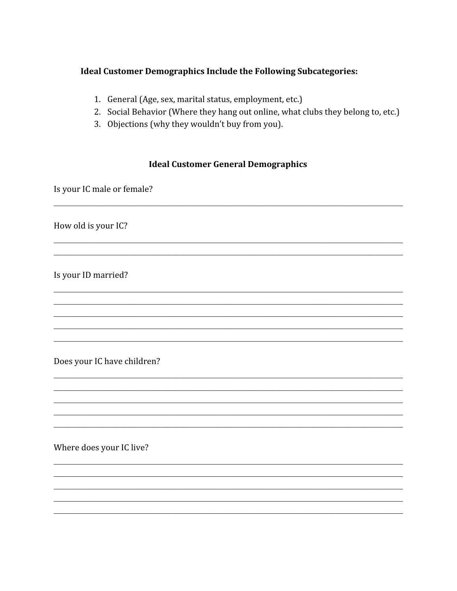#### **Ideal Customer Demographics Include the Following Subcategories:**

- 1. General (Age, sex, marital status, employment, etc.)
- 2. Social Behavior (Where they hang out online, what clubs they belong to, etc.)
- 3. Objections (why they wouldn't buy from you).

#### **Ideal Customer General Demographics**

Is your IC male or female?

How old is your IC?

Is your ID married?

Does your IC have children?

Where does your IC live?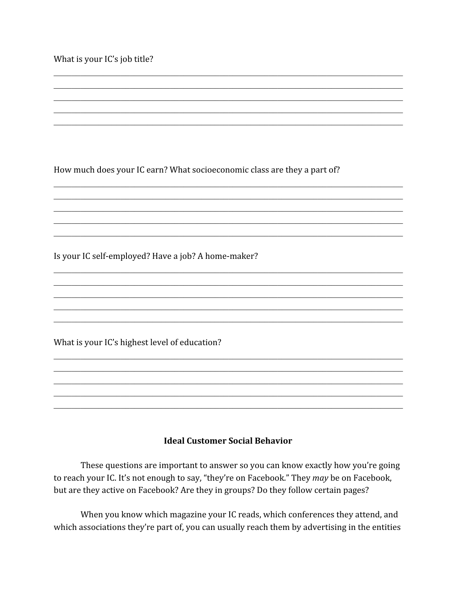What is your IC's job title?

How much does your IC earn? What socioeconomic class are they a part of?

Is your IC self-employed? Have a job? A home-maker?

What is your IC's highest level of education?

#### **Ideal Customer Social Behavior**

These questions are important to answer so you can know exactly how you're going to reach your IC. It's not enough to say, "they're on Facebook." They may be on Facebook, but are they active on Facebook? Are they in groups? Do they follow certain pages?

When you know which magazine your IC reads, which conferences they attend, and which associations they're part of, you can usually reach them by advertising in the entities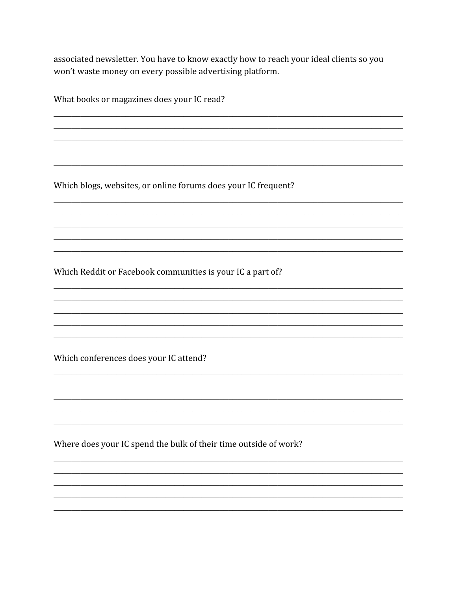associated newsletter. You have to know exactly how to reach your ideal clients so you won't waste money on every possible advertising platform.

What books or magazines does your IC read?

Which blogs, websites, or online forums does your IC frequent?

Which Reddit or Facebook communities is your IC a part of?

Which conferences does your IC attend?

Where does your IC spend the bulk of their time outside of work?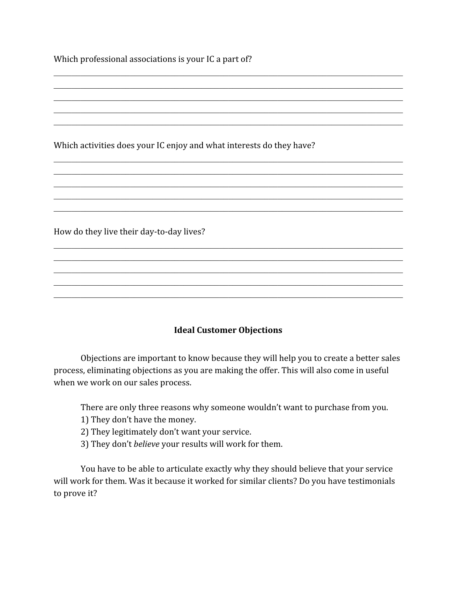Which professional associations is your IC a part of?

Which activities does your IC enjoy and what interests do they have?

How do they live their day-to-day lives?

#### **Ideal Customer Objections**

 $\mathcal{L}_\mathcal{L} = \{ \mathcal{L}_\mathcal{L} = \{ \mathcal{L}_\mathcal{L} = \{ \mathcal{L}_\mathcal{L} = \{ \mathcal{L}_\mathcal{L} = \{ \mathcal{L}_\mathcal{L} = \{ \mathcal{L}_\mathcal{L} = \{ \mathcal{L}_\mathcal{L} = \{ \mathcal{L}_\mathcal{L} = \{ \mathcal{L}_\mathcal{L} = \{ \mathcal{L}_\mathcal{L} = \{ \mathcal{L}_\mathcal{L} = \{ \mathcal{L}_\mathcal{L} = \{ \mathcal{L}_\mathcal{L} = \{ \mathcal{L}_\mathcal{$  $\mathcal{L}_\mathcal{L} = \{ \mathcal{L}_\mathcal{L} = \{ \mathcal{L}_\mathcal{L} = \{ \mathcal{L}_\mathcal{L} = \{ \mathcal{L}_\mathcal{L} = \{ \mathcal{L}_\mathcal{L} = \{ \mathcal{L}_\mathcal{L} = \{ \mathcal{L}_\mathcal{L} = \{ \mathcal{L}_\mathcal{L} = \{ \mathcal{L}_\mathcal{L} = \{ \mathcal{L}_\mathcal{L} = \{ \mathcal{L}_\mathcal{L} = \{ \mathcal{L}_\mathcal{L} = \{ \mathcal{L}_\mathcal{L} = \{ \mathcal{L}_\mathcal{$  $\mathcal{L}_\mathcal{L} = \{ \mathcal{L}_\mathcal{L} = \{ \mathcal{L}_\mathcal{L} = \{ \mathcal{L}_\mathcal{L} = \{ \mathcal{L}_\mathcal{L} = \{ \mathcal{L}_\mathcal{L} = \{ \mathcal{L}_\mathcal{L} = \{ \mathcal{L}_\mathcal{L} = \{ \mathcal{L}_\mathcal{L} = \{ \mathcal{L}_\mathcal{L} = \{ \mathcal{L}_\mathcal{L} = \{ \mathcal{L}_\mathcal{L} = \{ \mathcal{L}_\mathcal{L} = \{ \mathcal{L}_\mathcal{L} = \{ \mathcal{L}_\mathcal{$  $\mathcal{L}_\mathcal{L} = \{ \mathcal{L}_\mathcal{L} = \{ \mathcal{L}_\mathcal{L} = \{ \mathcal{L}_\mathcal{L} = \{ \mathcal{L}_\mathcal{L} = \{ \mathcal{L}_\mathcal{L} = \{ \mathcal{L}_\mathcal{L} = \{ \mathcal{L}_\mathcal{L} = \{ \mathcal{L}_\mathcal{L} = \{ \mathcal{L}_\mathcal{L} = \{ \mathcal{L}_\mathcal{L} = \{ \mathcal{L}_\mathcal{L} = \{ \mathcal{L}_\mathcal{L} = \{ \mathcal{L}_\mathcal{L} = \{ \mathcal{L}_\mathcal{$  $\mathcal{L}_\mathcal{L} = \{ \mathcal{L}_\mathcal{L} = \{ \mathcal{L}_\mathcal{L} = \{ \mathcal{L}_\mathcal{L} = \{ \mathcal{L}_\mathcal{L} = \{ \mathcal{L}_\mathcal{L} = \{ \mathcal{L}_\mathcal{L} = \{ \mathcal{L}_\mathcal{L} = \{ \mathcal{L}_\mathcal{L} = \{ \mathcal{L}_\mathcal{L} = \{ \mathcal{L}_\mathcal{L} = \{ \mathcal{L}_\mathcal{L} = \{ \mathcal{L}_\mathcal{L} = \{ \mathcal{L}_\mathcal{L} = \{ \mathcal{L}_\mathcal{$ 

 $\mathcal{L}_\mathcal{L} = \{ \mathcal{L}_\mathcal{L} = \{ \mathcal{L}_\mathcal{L} = \{ \mathcal{L}_\mathcal{L} = \{ \mathcal{L}_\mathcal{L} = \{ \mathcal{L}_\mathcal{L} = \{ \mathcal{L}_\mathcal{L} = \{ \mathcal{L}_\mathcal{L} = \{ \mathcal{L}_\mathcal{L} = \{ \mathcal{L}_\mathcal{L} = \{ \mathcal{L}_\mathcal{L} = \{ \mathcal{L}_\mathcal{L} = \{ \mathcal{L}_\mathcal{L} = \{ \mathcal{L}_\mathcal{L} = \{ \mathcal{L}_\mathcal{$  $\mathcal{L}_\mathcal{L} = \{ \mathcal{L}_\mathcal{L} = \{ \mathcal{L}_\mathcal{L} = \{ \mathcal{L}_\mathcal{L} = \{ \mathcal{L}_\mathcal{L} = \{ \mathcal{L}_\mathcal{L} = \{ \mathcal{L}_\mathcal{L} = \{ \mathcal{L}_\mathcal{L} = \{ \mathcal{L}_\mathcal{L} = \{ \mathcal{L}_\mathcal{L} = \{ \mathcal{L}_\mathcal{L} = \{ \mathcal{L}_\mathcal{L} = \{ \mathcal{L}_\mathcal{L} = \{ \mathcal{L}_\mathcal{L} = \{ \mathcal{L}_\mathcal{$  $\mathcal{L}_\mathcal{L} = \{ \mathcal{L}_\mathcal{L} = \{ \mathcal{L}_\mathcal{L} = \{ \mathcal{L}_\mathcal{L} = \{ \mathcal{L}_\mathcal{L} = \{ \mathcal{L}_\mathcal{L} = \{ \mathcal{L}_\mathcal{L} = \{ \mathcal{L}_\mathcal{L} = \{ \mathcal{L}_\mathcal{L} = \{ \mathcal{L}_\mathcal{L} = \{ \mathcal{L}_\mathcal{L} = \{ \mathcal{L}_\mathcal{L} = \{ \mathcal{L}_\mathcal{L} = \{ \mathcal{L}_\mathcal{L} = \{ \mathcal{L}_\mathcal{$  $\mathcal{L}_\mathcal{L} = \{ \mathcal{L}_\mathcal{L} = \{ \mathcal{L}_\mathcal{L} = \{ \mathcal{L}_\mathcal{L} = \{ \mathcal{L}_\mathcal{L} = \{ \mathcal{L}_\mathcal{L} = \{ \mathcal{L}_\mathcal{L} = \{ \mathcal{L}_\mathcal{L} = \{ \mathcal{L}_\mathcal{L} = \{ \mathcal{L}_\mathcal{L} = \{ \mathcal{L}_\mathcal{L} = \{ \mathcal{L}_\mathcal{L} = \{ \mathcal{L}_\mathcal{L} = \{ \mathcal{L}_\mathcal{L} = \{ \mathcal{L}_\mathcal{$  $\mathcal{L}_\mathcal{L} = \{ \mathcal{L}_\mathcal{L} = \{ \mathcal{L}_\mathcal{L} = \{ \mathcal{L}_\mathcal{L} = \{ \mathcal{L}_\mathcal{L} = \{ \mathcal{L}_\mathcal{L} = \{ \mathcal{L}_\mathcal{L} = \{ \mathcal{L}_\mathcal{L} = \{ \mathcal{L}_\mathcal{L} = \{ \mathcal{L}_\mathcal{L} = \{ \mathcal{L}_\mathcal{L} = \{ \mathcal{L}_\mathcal{L} = \{ \mathcal{L}_\mathcal{L} = \{ \mathcal{L}_\mathcal{L} = \{ \mathcal{L}_\mathcal{$ 

 $\mathcal{L}_\mathcal{L} = \{ \mathcal{L}_\mathcal{L} = \{ \mathcal{L}_\mathcal{L} = \{ \mathcal{L}_\mathcal{L} = \{ \mathcal{L}_\mathcal{L} = \{ \mathcal{L}_\mathcal{L} = \{ \mathcal{L}_\mathcal{L} = \{ \mathcal{L}_\mathcal{L} = \{ \mathcal{L}_\mathcal{L} = \{ \mathcal{L}_\mathcal{L} = \{ \mathcal{L}_\mathcal{L} = \{ \mathcal{L}_\mathcal{L} = \{ \mathcal{L}_\mathcal{L} = \{ \mathcal{L}_\mathcal{L} = \{ \mathcal{L}_\mathcal{$  $\mathcal{L}_\mathcal{L} = \{ \mathcal{L}_\mathcal{L} = \{ \mathcal{L}_\mathcal{L} = \{ \mathcal{L}_\mathcal{L} = \{ \mathcal{L}_\mathcal{L} = \{ \mathcal{L}_\mathcal{L} = \{ \mathcal{L}_\mathcal{L} = \{ \mathcal{L}_\mathcal{L} = \{ \mathcal{L}_\mathcal{L} = \{ \mathcal{L}_\mathcal{L} = \{ \mathcal{L}_\mathcal{L} = \{ \mathcal{L}_\mathcal{L} = \{ \mathcal{L}_\mathcal{L} = \{ \mathcal{L}_\mathcal{L} = \{ \mathcal{L}_\mathcal{$  $\mathcal{L}_\mathcal{L} = \{ \mathcal{L}_\mathcal{L} = \{ \mathcal{L}_\mathcal{L} = \{ \mathcal{L}_\mathcal{L} = \{ \mathcal{L}_\mathcal{L} = \{ \mathcal{L}_\mathcal{L} = \{ \mathcal{L}_\mathcal{L} = \{ \mathcal{L}_\mathcal{L} = \{ \mathcal{L}_\mathcal{L} = \{ \mathcal{L}_\mathcal{L} = \{ \mathcal{L}_\mathcal{L} = \{ \mathcal{L}_\mathcal{L} = \{ \mathcal{L}_\mathcal{L} = \{ \mathcal{L}_\mathcal{L} = \{ \mathcal{L}_\mathcal{$  $\mathcal{L}_\mathcal{L} = \{ \mathcal{L}_\mathcal{L} = \{ \mathcal{L}_\mathcal{L} = \{ \mathcal{L}_\mathcal{L} = \{ \mathcal{L}_\mathcal{L} = \{ \mathcal{L}_\mathcal{L} = \{ \mathcal{L}_\mathcal{L} = \{ \mathcal{L}_\mathcal{L} = \{ \mathcal{L}_\mathcal{L} = \{ \mathcal{L}_\mathcal{L} = \{ \mathcal{L}_\mathcal{L} = \{ \mathcal{L}_\mathcal{L} = \{ \mathcal{L}_\mathcal{L} = \{ \mathcal{L}_\mathcal{L} = \{ \mathcal{L}_\mathcal{$  $\mathcal{L}_\mathcal{L} = \{ \mathcal{L}_\mathcal{L} = \{ \mathcal{L}_\mathcal{L} = \{ \mathcal{L}_\mathcal{L} = \{ \mathcal{L}_\mathcal{L} = \{ \mathcal{L}_\mathcal{L} = \{ \mathcal{L}_\mathcal{L} = \{ \mathcal{L}_\mathcal{L} = \{ \mathcal{L}_\mathcal{L} = \{ \mathcal{L}_\mathcal{L} = \{ \mathcal{L}_\mathcal{L} = \{ \mathcal{L}_\mathcal{L} = \{ \mathcal{L}_\mathcal{L} = \{ \mathcal{L}_\mathcal{L} = \{ \mathcal{L}_\mathcal{$ 

Objections are important to know because they will help you to create a better sales process, eliminating objections as you are making the offer. This will also come in useful when we work on our sales process.

There are only three reasons why someone wouldn't want to purchase from you.

- 1) They don't have the money.
- 2) They legitimately don't want your service.
- 3) They don't *believe* your results will work for them.

You have to be able to articulate exactly why they should believe that your service will work for them. Was it because it worked for similar clients? Do you have testimonials to prove it?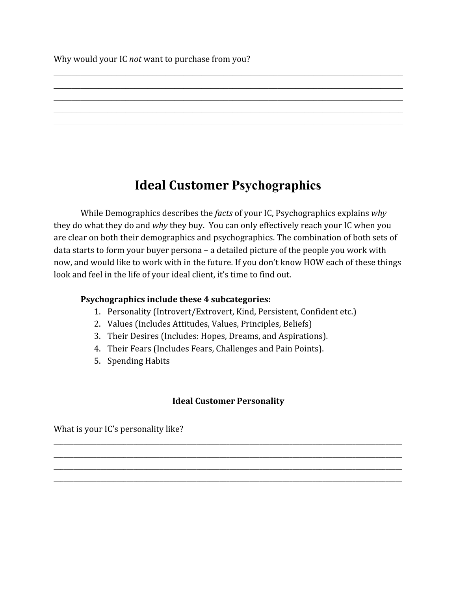Why would your IC *not* want to purchase from you?

# **Ideal Customer Psychographics**

 $\mathcal{L}_\mathcal{L} = \{ \mathcal{L}_\mathcal{L} = \{ \mathcal{L}_\mathcal{L} = \{ \mathcal{L}_\mathcal{L} = \{ \mathcal{L}_\mathcal{L} = \{ \mathcal{L}_\mathcal{L} = \{ \mathcal{L}_\mathcal{L} = \{ \mathcal{L}_\mathcal{L} = \{ \mathcal{L}_\mathcal{L} = \{ \mathcal{L}_\mathcal{L} = \{ \mathcal{L}_\mathcal{L} = \{ \mathcal{L}_\mathcal{L} = \{ \mathcal{L}_\mathcal{L} = \{ \mathcal{L}_\mathcal{L} = \{ \mathcal{L}_\mathcal{$  $\mathcal{L}_\mathcal{L} = \{ \mathcal{L}_\mathcal{L} = \{ \mathcal{L}_\mathcal{L} = \{ \mathcal{L}_\mathcal{L} = \{ \mathcal{L}_\mathcal{L} = \{ \mathcal{L}_\mathcal{L} = \{ \mathcal{L}_\mathcal{L} = \{ \mathcal{L}_\mathcal{L} = \{ \mathcal{L}_\mathcal{L} = \{ \mathcal{L}_\mathcal{L} = \{ \mathcal{L}_\mathcal{L} = \{ \mathcal{L}_\mathcal{L} = \{ \mathcal{L}_\mathcal{L} = \{ \mathcal{L}_\mathcal{L} = \{ \mathcal{L}_\mathcal{$  $\mathcal{L}_\mathcal{L} = \{ \mathcal{L}_\mathcal{L} = \{ \mathcal{L}_\mathcal{L} = \{ \mathcal{L}_\mathcal{L} = \{ \mathcal{L}_\mathcal{L} = \{ \mathcal{L}_\mathcal{L} = \{ \mathcal{L}_\mathcal{L} = \{ \mathcal{L}_\mathcal{L} = \{ \mathcal{L}_\mathcal{L} = \{ \mathcal{L}_\mathcal{L} = \{ \mathcal{L}_\mathcal{L} = \{ \mathcal{L}_\mathcal{L} = \{ \mathcal{L}_\mathcal{L} = \{ \mathcal{L}_\mathcal{L} = \{ \mathcal{L}_\mathcal{$  $\mathcal{L}_\mathcal{L} = \{ \mathcal{L}_\mathcal{L} = \{ \mathcal{L}_\mathcal{L} = \{ \mathcal{L}_\mathcal{L} = \{ \mathcal{L}_\mathcal{L} = \{ \mathcal{L}_\mathcal{L} = \{ \mathcal{L}_\mathcal{L} = \{ \mathcal{L}_\mathcal{L} = \{ \mathcal{L}_\mathcal{L} = \{ \mathcal{L}_\mathcal{L} = \{ \mathcal{L}_\mathcal{L} = \{ \mathcal{L}_\mathcal{L} = \{ \mathcal{L}_\mathcal{L} = \{ \mathcal{L}_\mathcal{L} = \{ \mathcal{L}_\mathcal{$  $\mathcal{L}_\mathcal{L} = \{ \mathcal{L}_\mathcal{L} = \{ \mathcal{L}_\mathcal{L} = \{ \mathcal{L}_\mathcal{L} = \{ \mathcal{L}_\mathcal{L} = \{ \mathcal{L}_\mathcal{L} = \{ \mathcal{L}_\mathcal{L} = \{ \mathcal{L}_\mathcal{L} = \{ \mathcal{L}_\mathcal{L} = \{ \mathcal{L}_\mathcal{L} = \{ \mathcal{L}_\mathcal{L} = \{ \mathcal{L}_\mathcal{L} = \{ \mathcal{L}_\mathcal{L} = \{ \mathcal{L}_\mathcal{L} = \{ \mathcal{L}_\mathcal{$ 

While Demographics describes the *facts* of your IC, Psychographics explains *why* they do what they do and *why* they buy. You can only effectively reach your IC when you are clear on both their demographics and psychographics. The combination of both sets of data starts to form your buyer persona – a detailed picture of the people you work with now, and would like to work with in the future. If you don't know HOW each of these things look and feel in the life of your ideal client, it's time to find out.

### **Psychographics include these 4 subcategories:**

- 1. Personality (Introvert/Extrovert, Kind, Persistent, Confident etc.)
- 2. Values (Includes Attitudes, Values, Principles, Beliefs)
- 3. Their Desires (Includes: Hopes, Dreams, and Aspirations).
- 4. Their Fears (Includes Fears, Challenges and Pain Points).
- 5. Spending Habits

## **Ideal Customer Personality**

\_\_\_\_\_\_\_\_\_\_\_\_\_\_\_\_\_\_\_\_\_\_\_\_\_\_\_\_\_\_\_\_\_\_\_\_\_\_\_\_\_\_\_\_\_\_\_\_\_\_\_\_\_\_\_\_\_\_\_\_\_\_\_\_\_\_\_\_\_\_\_\_\_\_\_\_\_\_\_\_\_\_\_\_\_\_\_\_\_\_\_\_\_\_\_\_\_\_\_\_\_\_\_\_\_ \_\_\_\_\_\_\_\_\_\_\_\_\_\_\_\_\_\_\_\_\_\_\_\_\_\_\_\_\_\_\_\_\_\_\_\_\_\_\_\_\_\_\_\_\_\_\_\_\_\_\_\_\_\_\_\_\_\_\_\_\_\_\_\_\_\_\_\_\_\_\_\_\_\_\_\_\_\_\_\_\_\_\_\_\_\_\_\_\_\_\_\_\_\_\_\_\_\_\_\_\_\_\_\_\_ \_\_\_\_\_\_\_\_\_\_\_\_\_\_\_\_\_\_\_\_\_\_\_\_\_\_\_\_\_\_\_\_\_\_\_\_\_\_\_\_\_\_\_\_\_\_\_\_\_\_\_\_\_\_\_\_\_\_\_\_\_\_\_\_\_\_\_\_\_\_\_\_\_\_\_\_\_\_\_\_\_\_\_\_\_\_\_\_\_\_\_\_\_\_\_\_\_\_\_\_\_\_\_\_\_ \_\_\_\_\_\_\_\_\_\_\_\_\_\_\_\_\_\_\_\_\_\_\_\_\_\_\_\_\_\_\_\_\_\_\_\_\_\_\_\_\_\_\_\_\_\_\_\_\_\_\_\_\_\_\_\_\_\_\_\_\_\_\_\_\_\_\_\_\_\_\_\_\_\_\_\_\_\_\_\_\_\_\_\_\_\_\_\_\_\_\_\_\_\_\_\_\_\_\_\_\_\_\_\_\_

What is your IC's personality like?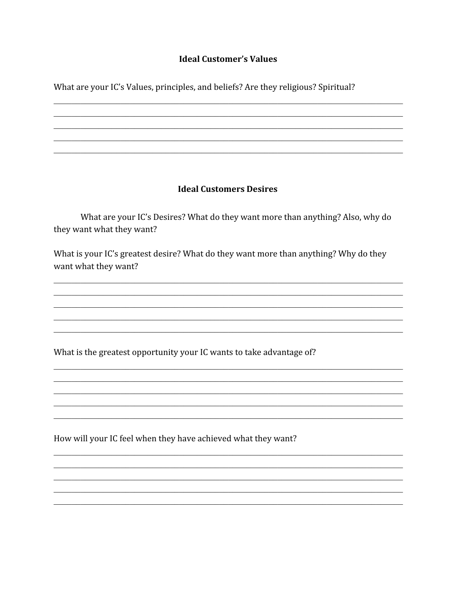#### **Ideal Customer's Values**

What are your IC's Values, principles, and beliefs? Are they religious? Spiritual?

#### **Ideal Customers Desires**

What are your IC's Desires? What do they want more than anything? Also, why do they want what they want?

What is your IC's greatest desire? What do they want more than anything? Why do they want what they want?

What is the greatest opportunity your IC wants to take advantage of?

How will your IC feel when they have achieved what they want?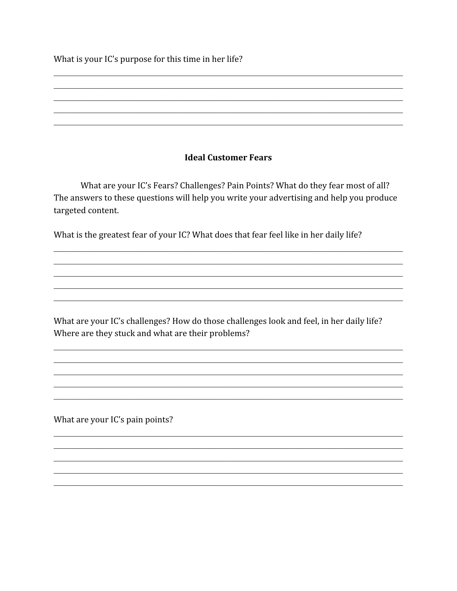What is your IC's purpose for this time in her life?

#### **Ideal Customer Fears**

What are your IC's Fears? Challenges? Pain Points? What do they fear most of all? The answers to these questions will help you write your advertising and help you produce targeted content.

What is the greatest fear of your IC? What does that fear feel like in her daily life?

What are your IC's challenges? How do those challenges look and feel, in her daily life? Where are they stuck and what are their problems?

What are your IC's pain points?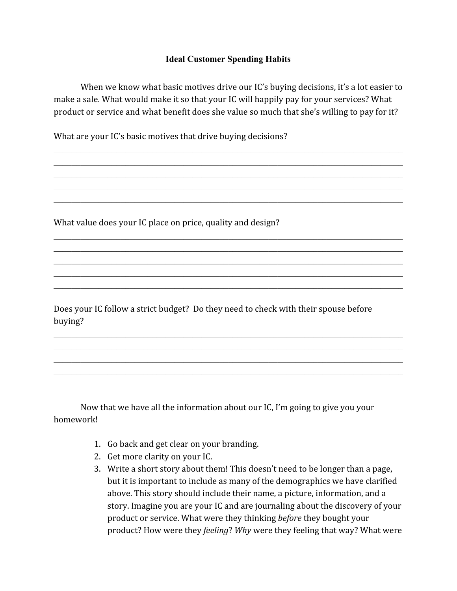#### **Ideal Customer Spending Habits**

When we know what basic motives drive our IC's buying decisions, it's a lot easier to make a sale. What would make it so that your IC will happily pay for your services? What product or service and what benefit does she value so much that she's willing to pay for it?

 $\mathcal{L}_\mathcal{L} = \{ \mathcal{L}_\mathcal{L} = \{ \mathcal{L}_\mathcal{L} = \{ \mathcal{L}_\mathcal{L} = \{ \mathcal{L}_\mathcal{L} = \{ \mathcal{L}_\mathcal{L} = \{ \mathcal{L}_\mathcal{L} = \{ \mathcal{L}_\mathcal{L} = \{ \mathcal{L}_\mathcal{L} = \{ \mathcal{L}_\mathcal{L} = \{ \mathcal{L}_\mathcal{L} = \{ \mathcal{L}_\mathcal{L} = \{ \mathcal{L}_\mathcal{L} = \{ \mathcal{L}_\mathcal{L} = \{ \mathcal{L}_\mathcal{$  $\mathcal{L}_\mathcal{L} = \{ \mathcal{L}_\mathcal{L} = \{ \mathcal{L}_\mathcal{L} = \{ \mathcal{L}_\mathcal{L} = \{ \mathcal{L}_\mathcal{L} = \{ \mathcal{L}_\mathcal{L} = \{ \mathcal{L}_\mathcal{L} = \{ \mathcal{L}_\mathcal{L} = \{ \mathcal{L}_\mathcal{L} = \{ \mathcal{L}_\mathcal{L} = \{ \mathcal{L}_\mathcal{L} = \{ \mathcal{L}_\mathcal{L} = \{ \mathcal{L}_\mathcal{L} = \{ \mathcal{L}_\mathcal{L} = \{ \mathcal{L}_\mathcal{$  $\mathcal{L}_\mathcal{L} = \{ \mathcal{L}_\mathcal{L} = \{ \mathcal{L}_\mathcal{L} = \{ \mathcal{L}_\mathcal{L} = \{ \mathcal{L}_\mathcal{L} = \{ \mathcal{L}_\mathcal{L} = \{ \mathcal{L}_\mathcal{L} = \{ \mathcal{L}_\mathcal{L} = \{ \mathcal{L}_\mathcal{L} = \{ \mathcal{L}_\mathcal{L} = \{ \mathcal{L}_\mathcal{L} = \{ \mathcal{L}_\mathcal{L} = \{ \mathcal{L}_\mathcal{L} = \{ \mathcal{L}_\mathcal{L} = \{ \mathcal{L}_\mathcal{$  $\mathcal{L}_\mathcal{L} = \{ \mathcal{L}_\mathcal{L} = \{ \mathcal{L}_\mathcal{L} = \{ \mathcal{L}_\mathcal{L} = \{ \mathcal{L}_\mathcal{L} = \{ \mathcal{L}_\mathcal{L} = \{ \mathcal{L}_\mathcal{L} = \{ \mathcal{L}_\mathcal{L} = \{ \mathcal{L}_\mathcal{L} = \{ \mathcal{L}_\mathcal{L} = \{ \mathcal{L}_\mathcal{L} = \{ \mathcal{L}_\mathcal{L} = \{ \mathcal{L}_\mathcal{L} = \{ \mathcal{L}_\mathcal{L} = \{ \mathcal{L}_\mathcal{$  $\mathcal{L}_\mathcal{L} = \{ \mathcal{L}_\mathcal{L} = \{ \mathcal{L}_\mathcal{L} = \{ \mathcal{L}_\mathcal{L} = \{ \mathcal{L}_\mathcal{L} = \{ \mathcal{L}_\mathcal{L} = \{ \mathcal{L}_\mathcal{L} = \{ \mathcal{L}_\mathcal{L} = \{ \mathcal{L}_\mathcal{L} = \{ \mathcal{L}_\mathcal{L} = \{ \mathcal{L}_\mathcal{L} = \{ \mathcal{L}_\mathcal{L} = \{ \mathcal{L}_\mathcal{L} = \{ \mathcal{L}_\mathcal{L} = \{ \mathcal{L}_\mathcal{$ 

 $\mathcal{L}_\mathcal{L} = \{ \mathcal{L}_\mathcal{L} = \{ \mathcal{L}_\mathcal{L} = \{ \mathcal{L}_\mathcal{L} = \{ \mathcal{L}_\mathcal{L} = \{ \mathcal{L}_\mathcal{L} = \{ \mathcal{L}_\mathcal{L} = \{ \mathcal{L}_\mathcal{L} = \{ \mathcal{L}_\mathcal{L} = \{ \mathcal{L}_\mathcal{L} = \{ \mathcal{L}_\mathcal{L} = \{ \mathcal{L}_\mathcal{L} = \{ \mathcal{L}_\mathcal{L} = \{ \mathcal{L}_\mathcal{L} = \{ \mathcal{L}_\mathcal{$  $\mathcal{L}_\mathcal{L} = \{ \mathcal{L}_\mathcal{L} = \{ \mathcal{L}_\mathcal{L} = \{ \mathcal{L}_\mathcal{L} = \{ \mathcal{L}_\mathcal{L} = \{ \mathcal{L}_\mathcal{L} = \{ \mathcal{L}_\mathcal{L} = \{ \mathcal{L}_\mathcal{L} = \{ \mathcal{L}_\mathcal{L} = \{ \mathcal{L}_\mathcal{L} = \{ \mathcal{L}_\mathcal{L} = \{ \mathcal{L}_\mathcal{L} = \{ \mathcal{L}_\mathcal{L} = \{ \mathcal{L}_\mathcal{L} = \{ \mathcal{L}_\mathcal{$  $\mathcal{L}_\mathcal{L} = \{ \mathcal{L}_\mathcal{L} = \{ \mathcal{L}_\mathcal{L} = \{ \mathcal{L}_\mathcal{L} = \{ \mathcal{L}_\mathcal{L} = \{ \mathcal{L}_\mathcal{L} = \{ \mathcal{L}_\mathcal{L} = \{ \mathcal{L}_\mathcal{L} = \{ \mathcal{L}_\mathcal{L} = \{ \mathcal{L}_\mathcal{L} = \{ \mathcal{L}_\mathcal{L} = \{ \mathcal{L}_\mathcal{L} = \{ \mathcal{L}_\mathcal{L} = \{ \mathcal{L}_\mathcal{L} = \{ \mathcal{L}_\mathcal{$  $\mathcal{L}_\mathcal{L} = \{ \mathcal{L}_\mathcal{L} = \{ \mathcal{L}_\mathcal{L} = \{ \mathcal{L}_\mathcal{L} = \{ \mathcal{L}_\mathcal{L} = \{ \mathcal{L}_\mathcal{L} = \{ \mathcal{L}_\mathcal{L} = \{ \mathcal{L}_\mathcal{L} = \{ \mathcal{L}_\mathcal{L} = \{ \mathcal{L}_\mathcal{L} = \{ \mathcal{L}_\mathcal{L} = \{ \mathcal{L}_\mathcal{L} = \{ \mathcal{L}_\mathcal{L} = \{ \mathcal{L}_\mathcal{L} = \{ \mathcal{L}_\mathcal{$  $\mathcal{L}_\mathcal{L} = \{ \mathcal{L}_\mathcal{L} = \{ \mathcal{L}_\mathcal{L} = \{ \mathcal{L}_\mathcal{L} = \{ \mathcal{L}_\mathcal{L} = \{ \mathcal{L}_\mathcal{L} = \{ \mathcal{L}_\mathcal{L} = \{ \mathcal{L}_\mathcal{L} = \{ \mathcal{L}_\mathcal{L} = \{ \mathcal{L}_\mathcal{L} = \{ \mathcal{L}_\mathcal{L} = \{ \mathcal{L}_\mathcal{L} = \{ \mathcal{L}_\mathcal{L} = \{ \mathcal{L}_\mathcal{L} = \{ \mathcal{L}_\mathcal{$ 

What are your IC's basic motives that drive buying decisions?

What value does your IC place on price, quality and design?

Does your IC follow a strict budget? Do they need to check with their spouse before buying?

 $\mathcal{L}_\mathcal{L} = \{ \mathcal{L}_\mathcal{L} = \{ \mathcal{L}_\mathcal{L} = \{ \mathcal{L}_\mathcal{L} = \{ \mathcal{L}_\mathcal{L} = \{ \mathcal{L}_\mathcal{L} = \{ \mathcal{L}_\mathcal{L} = \{ \mathcal{L}_\mathcal{L} = \{ \mathcal{L}_\mathcal{L} = \{ \mathcal{L}_\mathcal{L} = \{ \mathcal{L}_\mathcal{L} = \{ \mathcal{L}_\mathcal{L} = \{ \mathcal{L}_\mathcal{L} = \{ \mathcal{L}_\mathcal{L} = \{ \mathcal{L}_\mathcal{$  $\mathcal{L}_\mathcal{L} = \{ \mathcal{L}_\mathcal{L} = \{ \mathcal{L}_\mathcal{L} = \{ \mathcal{L}_\mathcal{L} = \{ \mathcal{L}_\mathcal{L} = \{ \mathcal{L}_\mathcal{L} = \{ \mathcal{L}_\mathcal{L} = \{ \mathcal{L}_\mathcal{L} = \{ \mathcal{L}_\mathcal{L} = \{ \mathcal{L}_\mathcal{L} = \{ \mathcal{L}_\mathcal{L} = \{ \mathcal{L}_\mathcal{L} = \{ \mathcal{L}_\mathcal{L} = \{ \mathcal{L}_\mathcal{L} = \{ \mathcal{L}_\mathcal{$  $\mathcal{L}_\mathcal{L} = \{ \mathcal{L}_\mathcal{L} = \{ \mathcal{L}_\mathcal{L} = \{ \mathcal{L}_\mathcal{L} = \{ \mathcal{L}_\mathcal{L} = \{ \mathcal{L}_\mathcal{L} = \{ \mathcal{L}_\mathcal{L} = \{ \mathcal{L}_\mathcal{L} = \{ \mathcal{L}_\mathcal{L} = \{ \mathcal{L}_\mathcal{L} = \{ \mathcal{L}_\mathcal{L} = \{ \mathcal{L}_\mathcal{L} = \{ \mathcal{L}_\mathcal{L} = \{ \mathcal{L}_\mathcal{L} = \{ \mathcal{L}_\mathcal{$  $\mathcal{L}_\mathcal{L} = \{ \mathcal{L}_\mathcal{L} = \{ \mathcal{L}_\mathcal{L} = \{ \mathcal{L}_\mathcal{L} = \{ \mathcal{L}_\mathcal{L} = \{ \mathcal{L}_\mathcal{L} = \{ \mathcal{L}_\mathcal{L} = \{ \mathcal{L}_\mathcal{L} = \{ \mathcal{L}_\mathcal{L} = \{ \mathcal{L}_\mathcal{L} = \{ \mathcal{L}_\mathcal{L} = \{ \mathcal{L}_\mathcal{L} = \{ \mathcal{L}_\mathcal{L} = \{ \mathcal{L}_\mathcal{L} = \{ \mathcal{L}_\mathcal{$ 

Now that we have all the information about our IC, I'm going to give you your homework!

- 1. Go back and get clear on your branding.
- 2. Get more clarity on your IC.
- 3. Write a short story about them! This doesn't need to be longer than a page, but it is important to include as many of the demographics we have clarified above. This story should include their name, a picture, information, and a story. Imagine you are your IC and are journaling about the discovery of your product or service. What were they thinking *before* they bought your product? How were they *feeling*? *Why* were they feeling that way? What were